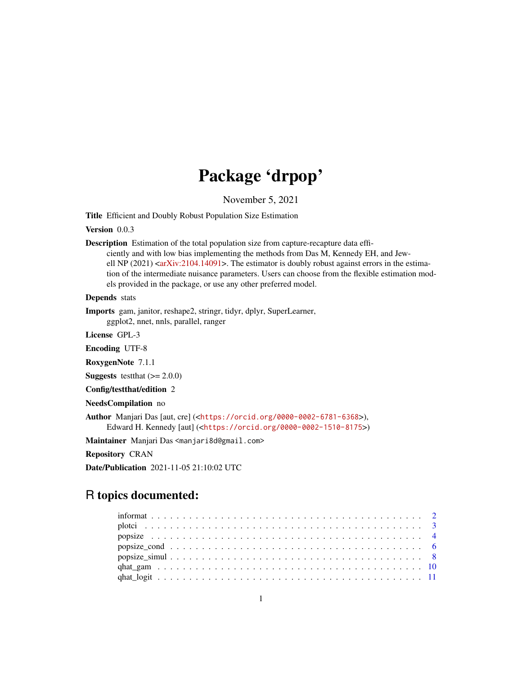# Package 'drpop'

November 5, 2021

<span id="page-0-0"></span>Title Efficient and Doubly Robust Population Size Estimation

Version 0.0.3

Description Estimation of the total population size from capture-recapture data efficiently and with low bias implementing the methods from Das M, Kennedy EH, and Jewell NP (2021) < $arXiv:2104.14091$ >. The estimator is doubly robust against errors in the estimation of the intermediate nuisance parameters. Users can choose from the flexible estimation models provided in the package, or use any other preferred model.

Depends stats

Imports gam, janitor, reshape2, stringr, tidyr, dplyr, SuperLearner, ggplot2, nnet, nnls, parallel, ranger

License GPL-3

Encoding UTF-8

RoxygenNote 7.1.1

**Suggests** test that  $(>= 2.0.0)$ 

Config/testthat/edition 2

NeedsCompilation no

Author Manjari Das [aut, cre] (<<https://orcid.org/0000-0002-6781-6368>>), Edward H. Kennedy [aut] (<<https://orcid.org/0000-0002-1510-8175>>)

Maintainer Manjari Das <manjari8d@gmail.com>

Repository CRAN

Date/Publication 2021-11-05 21:10:02 UTC

# R topics documented: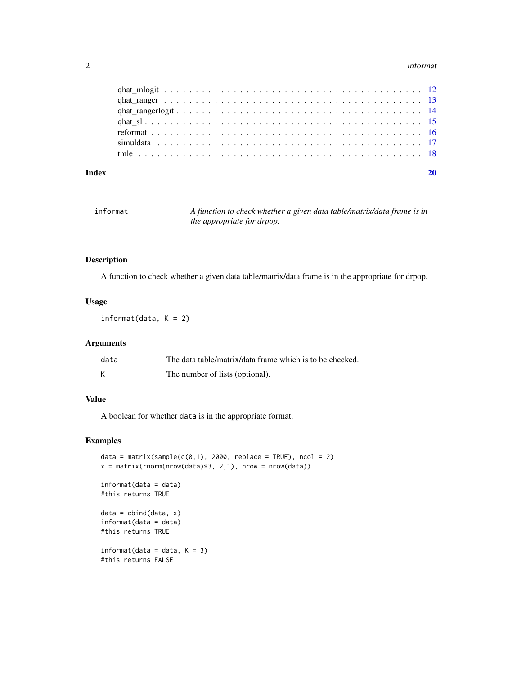#### <span id="page-1-0"></span>2 information of the contract of the contract of the contract of the contract of the contract of the contract of the contract of the contract of the contract of the contract of the contract of the contract of the contract

| Index |  |
|-------|--|
|       |  |
|       |  |
|       |  |
|       |  |
|       |  |
|       |  |
|       |  |

| informat | A function to check whether a given data table/matrix/data frame is in |
|----------|------------------------------------------------------------------------|
|          | the appropriate for drpop.                                             |

# Description

A function to check whether a given data table/matrix/data frame is in the appropriate for drpop.

#### Usage

 $information(data, K = 2)$ 

# Arguments

| data | The data table/matrix/data frame which is to be checked. |
|------|----------------------------------------------------------|
|      | The number of lists (optional).                          |

# Value

A boolean for whether data is in the appropriate format.

```
data = matrix(sample(c(0,1), 2000, replace = TRUE), ncol = 2)
x = matrix(rnorm(nrow(data)*3, 2, 1), nrow = nrow(data)informat(data = data)
#this returns TRUE
data = child(data, x)informat(data = data)
#this returns TRUE
information = data, K = 3)#this returns FALSE
```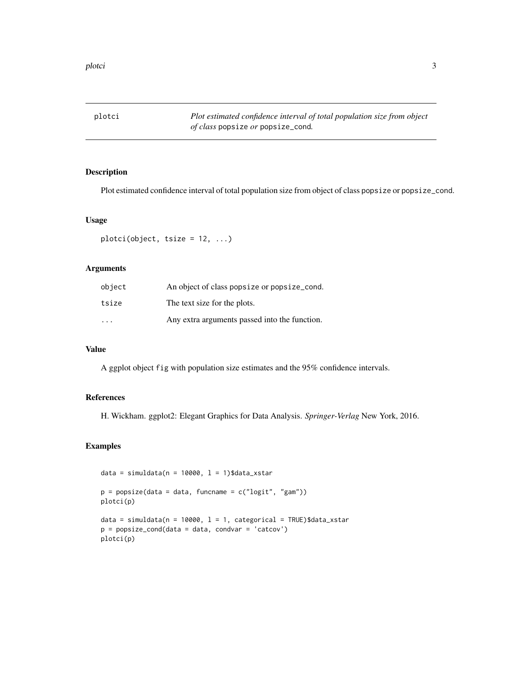<span id="page-2-0"></span>

Plot estimated confidence interval of total population size from object of class popsize or popsize\_cond.

#### Usage

plotci(object, tsize = 12, ...)

# Arguments

| object                  | An object of class popsize or popsize cond.   |
|-------------------------|-----------------------------------------------|
| tsize                   | The text size for the plots.                  |
| $\cdot$ $\cdot$ $\cdot$ | Any extra arguments passed into the function. |

#### Value

A ggplot object fig with population size estimates and the 95% confidence intervals.

# References

H. Wickham. ggplot2: Elegant Graphics for Data Analysis. *Springer-Verlag* New York, 2016.

```
data = simuldata(n = 10000, 1 = 1)$data_xstar
p = popsize(data = data, funcname = c("logit", "gam"))
plotci(p)
data = simuldata(n = 10000, 1 = 1, categorical = TRUE)$data_xstar
p = popsize_cond(data = data, condvar = 'catcov')
plotci(p)
```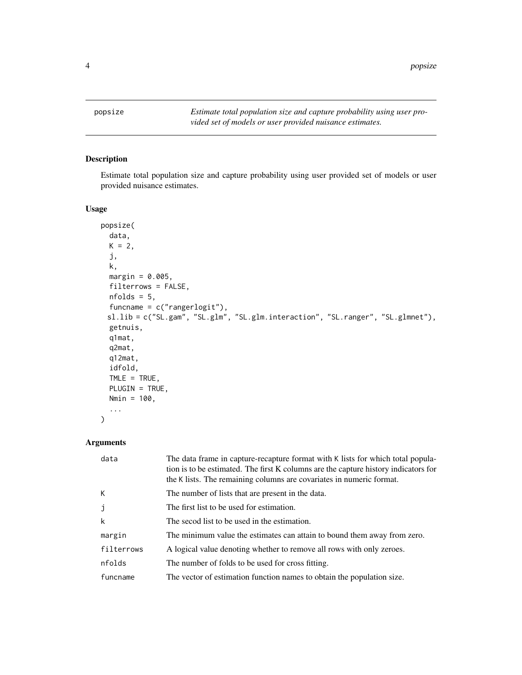<span id="page-3-1"></span><span id="page-3-0"></span>

Estimate total population size and capture probability using user provided set of models or user provided nuisance estimates.

#### Usage

```
popsize(
 data,
 K = 2,j,
 k,
 margin = 0.005,
 filterrows = FALSE,
 nfolds = 5,
  funcname = c("rangerlogit"),
 sl.lib = c("SL.gam", "SL.glm", "SL.glm.interaction", "SL.ranger", "SL.glmnet"),
 getnuis,
 q1mat,
  q2mat,
 q12mat,
  idfold,
  TIME = TRUE,PLUGIN = TRUE,
 Nmin = 100,
  ...
\mathcal{L}
```
# Arguments

| data       | The data frame in capture-recapture format with K lists for which total popula-<br>tion is to be estimated. The first K columns are the capture history indicators for<br>the K lists. The remaining columns are covariates in numeric format. |
|------------|------------------------------------------------------------------------------------------------------------------------------------------------------------------------------------------------------------------------------------------------|
| K          | The number of lists that are present in the data.                                                                                                                                                                                              |
| j          | The first list to be used for estimation.                                                                                                                                                                                                      |
| k          | The secod list to be used in the estimation.                                                                                                                                                                                                   |
| margin     | The minimum value the estimates can attain to bound them away from zero.                                                                                                                                                                       |
| filterrows | A logical value denoting whether to remove all rows with only zeroes.                                                                                                                                                                          |
| nfolds     | The number of folds to be used for cross fitting.                                                                                                                                                                                              |
| funcname   | The vector of estimation function names to obtain the population size.                                                                                                                                                                         |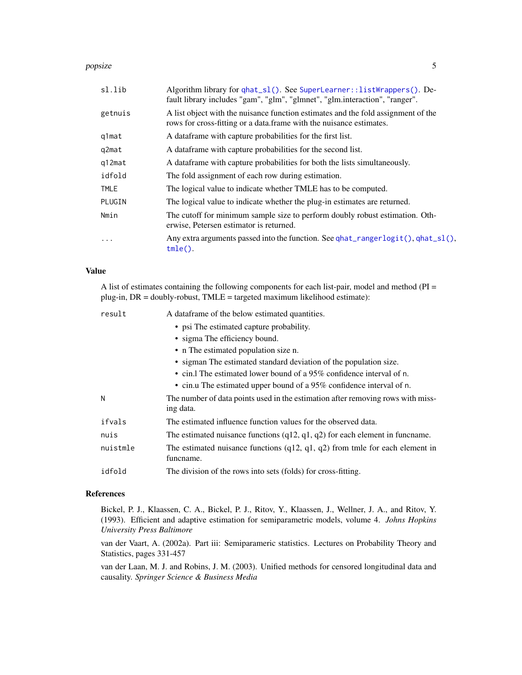#### <span id="page-4-0"></span>popsize 5

| sl.lib   | Algorithm library for qhat_sl(). See SuperLearner:: listWrappers(). De-<br>fault library includes "gam", "glm", "glmnet", "glm.interaction", "ranger".   |
|----------|----------------------------------------------------------------------------------------------------------------------------------------------------------|
| getnuis  | A list object with the nuisance function estimates and the fold assignment of the<br>rows for cross-fitting or a data frame with the nuisance estimates. |
| q1mat    | A data frame with capture probabilities for the first list.                                                                                              |
| q2mat    | A dataframe with capture probabilities for the second list.                                                                                              |
| q12mat   | A data frame with capture probabilities for both the lists simultaneously.                                                                               |
| idfold   | The fold assignment of each row during estimation.                                                                                                       |
| TMLE     | The logical value to indicate whether TMLE has to be computed.                                                                                           |
| PLUGIN   | The logical value to indicate whether the plug-in estimates are returned.                                                                                |
| Nmin     | The cutoff for minimum sample size to perform doubly robust estimation. Oth-<br>erwise, Petersen estimator is returned.                                  |
| $\cdots$ | Any extra arguments passed into the function. See $qhat_r$ ranger $logit()$ , $qhat_s1()$ ,<br>$tmle()$ .                                                |

#### Value

A list of estimates containing the following components for each list-pair, model and method (PI = plug-in, DR = doubly-robust, TMLE = targeted maximum likelihood estimate):

| result   | A data frame of the below estimated quantities.                                              |
|----------|----------------------------------------------------------------------------------------------|
|          | • psi The estimated capture probability.                                                     |
|          | • sigma The efficiency bound.                                                                |
|          | • n The estimated population size n.                                                         |
|          | • sigman The estimated standard deviation of the population size.                            |
|          | • cin. The estimated lower bound of a $95\%$ confidence interval of n.                       |
|          | • cin.u The estimated upper bound of a 95% confidence interval of n.                         |
| N        | The number of data points used in the estimation after removing rows with miss-<br>ing data. |
| ifvals   | The estimated influence function values for the observed data.                               |
| nuis     | The estimated nuisance functions $(q12, q1, q2)$ for each element in funcname.               |
| nuistmle | The estimated nuisance functions $(q12, q1, q2)$ from tmle for each element in<br>funcname.  |
| idfold   | The division of the rows into sets (folds) for cross-fitting.                                |

# References

Bickel, P. J., Klaassen, C. A., Bickel, P. J., Ritov, Y., Klaassen, J., Wellner, J. A., and Ritov, Y. (1993). Efficient and adaptive estimation for semiparametric models, volume 4. *Johns Hopkins University Press Baltimore*

van der Vaart, A. (2002a). Part iii: Semiparameric statistics. Lectures on Probability Theory and Statistics, pages 331-457

van der Laan, M. J. and Robins, J. M. (2003). Unified methods for censored longitudinal data and causality. *Springer Science & Business Media*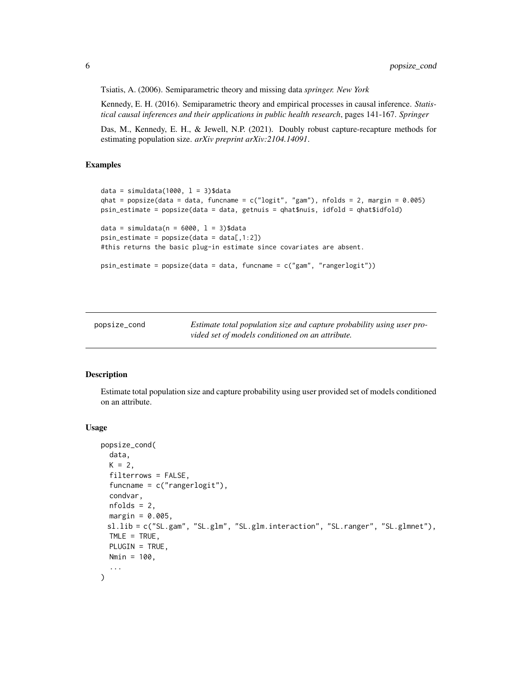<span id="page-5-0"></span>Tsiatis, A. (2006). Semiparametric theory and missing data *springer. New York*

Kennedy, E. H. (2016). Semiparametric theory and empirical processes in causal inference. *Statistical causal inferences and their applications in public health research*, pages 141-167. *Springer*

Das, M., Kennedy, E. H., & Jewell, N.P. (2021). Doubly robust capture-recapture methods for estimating population size. *arXiv preprint arXiv:2104.14091*.

#### Examples

```
data = simuldata(1000, l = 3)$data
qhat = popsize(data = data, funcname = c("logit", "gam"), nfolds = 2, margin = 0.005)
psin_estimate = popsize(data = data, getnuis = qhat$nuis, idfold = qhat$idfold)
data = simuldata(n = 6000, 1 = 3)$data
psin\_estimate = popsize(data = data[, 1:2])#this returns the basic plug-in estimate since covariates are absent.
psin_estimate = popsize(data = data, funcname = c("gam", "rangerlogit"))
```
popsize\_cond *Estimate total population size and capture probability using user provided set of models conditioned on an attribute.*

#### Description

Estimate total population size and capture probability using user provided set of models conditioned on an attribute.

#### Usage

```
popsize_cond(
  data,
 K = 2,
  filterrows = FALSE,
  funcname = c("rangerlogit"),
  condvar,
 nfolds = 2,
 margin = 0.005,
 sl.lib = c("SL.gam", "SL.glm", "SL.glm.interaction", "SL.ranger", "SL.glmnet"),
 TIME = TRUE,PLUGIN = TRUE,
 Nmin = 100,
  ...
)
```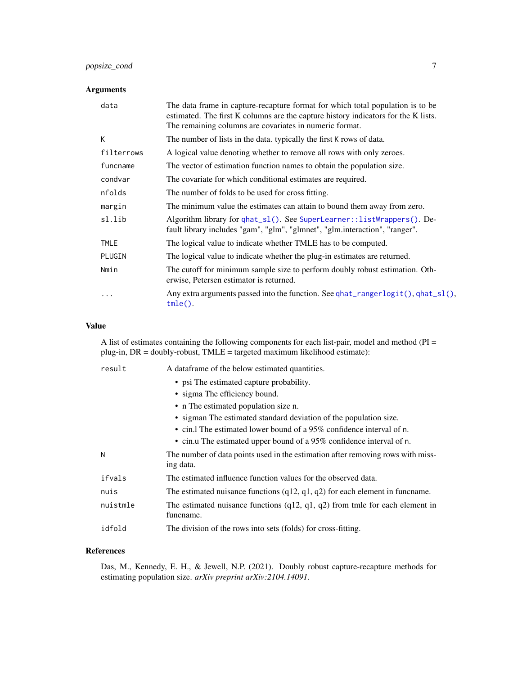# <span id="page-6-0"></span>popsize\_cond 7

# Arguments

| data       | The data frame in capture-recapture format for which total population is to be<br>estimated. The first K columns are the capture history indicators for the K lists.<br>The remaining columns are covariates in numeric format. |
|------------|---------------------------------------------------------------------------------------------------------------------------------------------------------------------------------------------------------------------------------|
| К          | The number of lists in the data. typically the first K rows of data.                                                                                                                                                            |
| filterrows | A logical value denoting whether to remove all rows with only zeroes.                                                                                                                                                           |
| funcname   | The vector of estimation function names to obtain the population size.                                                                                                                                                          |
| condvar    | The covariate for which conditional estimates are required.                                                                                                                                                                     |
| nfolds     | The number of folds to be used for cross fitting.                                                                                                                                                                               |
| margin     | The minimum value the estimates can attain to bound them away from zero.                                                                                                                                                        |
| sl.lib     | Algorithm library for qhat_sl(). See SuperLearner:: listWrappers(). De-<br>fault library includes "gam", "glm", "glmnet", "glm.interaction", "ranger".                                                                          |
| TMLE       | The logical value to indicate whether TMLE has to be computed.                                                                                                                                                                  |
| PLUGIN     | The logical value to indicate whether the plug-in estimates are returned.                                                                                                                                                       |
| Nmin       | The cutoff for minimum sample size to perform doubly robust estimation. Oth-<br>erwise, Petersen estimator is returned.                                                                                                         |
| $\cdots$   | Any extra arguments passed into the function. See qhat_rangerlogit(), qhat_sl(),<br>$tmle()$ .                                                                                                                                  |

#### Value

A list of estimates containing the following components for each list-pair, model and method (PI = plug-in, DR = doubly-robust, TMLE = targeted maximum likelihood estimate):

| result   | A data frame of the below estimated quantities.                                              |
|----------|----------------------------------------------------------------------------------------------|
|          | • psi The estimated capture probability.                                                     |
|          | • sigma The efficiency bound.                                                                |
|          | • n The estimated population size n.                                                         |
|          | • sigman The estimated standard deviation of the population size.                            |
|          | • cin. The estimated lower bound of a $95\%$ confidence interval of n.                       |
|          | • cin.u The estimated upper bound of a 95% confidence interval of n.                         |
| N        | The number of data points used in the estimation after removing rows with miss-<br>ing data. |
| ifvals   | The estimated influence function values for the observed data.                               |
| nuis     | The estimated nuisance functions $(q12, q1, q2)$ for each element in funcname.               |
| nuistmle | The estimated nuisance functions $(q12, q1, q2)$ from tmle for each element in<br>funcname.  |
| idfold   | The division of the rows into sets (folds) for cross-fitting.                                |
|          |                                                                                              |

#### References

Das, M., Kennedy, E. H., & Jewell, N.P. (2021). Doubly robust capture-recapture methods for estimating population size. *arXiv preprint arXiv:2104.14091*.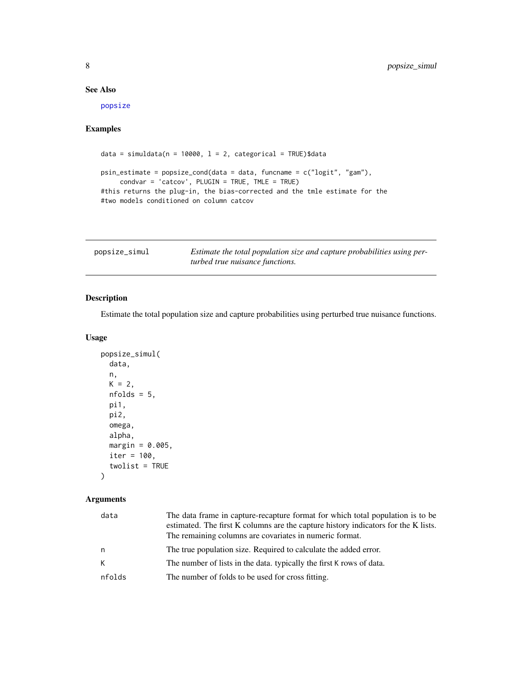# <span id="page-7-0"></span>See Also

[popsize](#page-3-1)

# Examples

```
data = simuldata(n = 10000, 1 = 2, categorical = TRUE)$data
psin_estimate = popsize_cond(data = data, funcname = c("logit", "gam"),
     condvar = 'catcov', PLUGIN = TRUE, TMLE = TRUE)
#this returns the plug-in, the bias-corrected and the tmle estimate for the
#two models conditioned on column catcov
```

| popsize_simul | Estimate the total population size and capture probabilities using per- |
|---------------|-------------------------------------------------------------------------|
|               | turbed true nuisance functions.                                         |

# Description

Estimate the total population size and capture probabilities using perturbed true nuisance functions.

# Usage

```
popsize_simul(
  data,
 n,
 K = 2,
 nfolds = 5,
 pi1,
 pi2,
 omega,
 alpha,
 margin = 0.005,
 iter = 100,
  twolist = TRUE
```
)

#### Arguments

| data   | The data frame in capture-recapture format for which total population is to be     |
|--------|------------------------------------------------------------------------------------|
|        | estimated. The first K columns are the capture history indicators for the K lists. |
|        | The remaining columns are covariates in numeric format.                            |
| n      | The true population size. Required to calculate the added error.                   |
| K      | The number of lists in the data. typically the first K rows of data.               |
| nfolds | The number of folds to be used for cross fitting.                                  |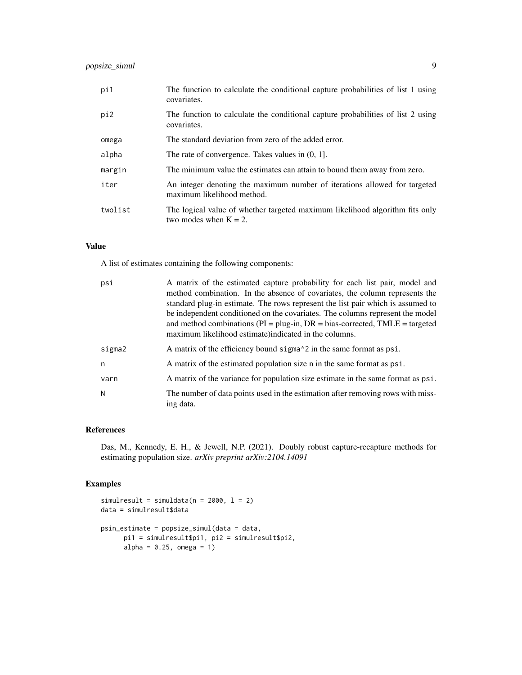| pi1     | The function to calculate the conditional capture probabilities of list 1 using<br>covariates.           |
|---------|----------------------------------------------------------------------------------------------------------|
| pi2     | The function to calculate the conditional capture probabilities of list 2 using<br>covariates.           |
| omega   | The standard deviation from zero of the added error.                                                     |
| alpha   | The rate of convergence. Takes values in $(0, 1]$ .                                                      |
| margin  | The minimum value the estimates can attain to bound them away from zero.                                 |
| iter    | An integer denoting the maximum number of iterations allowed for targeted<br>maximum likelihood method.  |
| twolist | The logical value of whether targeted maximum likelihood algorithm fits only<br>two modes when $K = 2$ . |

### Value

A list of estimates containing the following components:

| A matrix of the estimated capture probability for each list pair, model and<br>method combination. In the absence of covariates, the column represents the<br>standard plug-in estimate. The rows represent the list pair which is assumed to<br>be independent conditioned on the covariates. The columns represent the model<br>and method combinations ( $PI = plug-in$ , $DR = bias-corrected$ , $TMLE = targeted$<br>maximum likelihood estimate) indicated in the columns. |
|----------------------------------------------------------------------------------------------------------------------------------------------------------------------------------------------------------------------------------------------------------------------------------------------------------------------------------------------------------------------------------------------------------------------------------------------------------------------------------|
| A matrix of the efficiency bound sigma <sup><math>\lambda</math></sup> 2 in the same format as psi.                                                                                                                                                                                                                                                                                                                                                                              |
| A matrix of the estimated population size n in the same format as psi.                                                                                                                                                                                                                                                                                                                                                                                                           |
| A matrix of the variance for population size estimate in the same format as psi.                                                                                                                                                                                                                                                                                                                                                                                                 |
| The number of data points used in the estimation after removing rows with miss-<br>ing data.                                                                                                                                                                                                                                                                                                                                                                                     |
|                                                                                                                                                                                                                                                                                                                                                                                                                                                                                  |

#### References

Das, M., Kennedy, E. H., & Jewell, N.P. (2021). Doubly robust capture-recapture methods for estimating population size. *arXiv preprint arXiv:2104.14091*

```
simulresult = simuldata(n = 2000, l = 2)
data = simulresult$data
psin_estimate = popsize_simul(data = data,
      pi1 = simulresult$pi1, pi2 = simulresult$pi2,
      alpha = 0.25, omega = 1)
```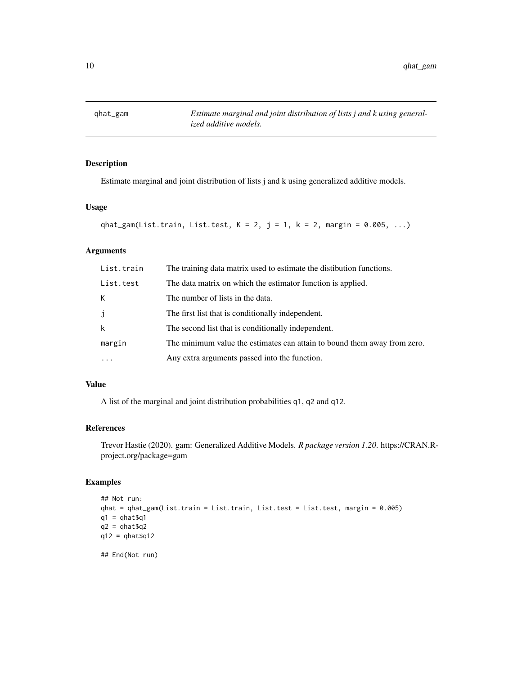<span id="page-9-0"></span>

Estimate marginal and joint distribution of lists j and k using generalized additive models.

#### Usage

```
qhat_gam(List.train, List.test, K = 2, j = 1, k = 2, margin = 0.005, ...)
```
### Arguments

| List.train | The training data matrix used to estimate the distibution functions.     |
|------------|--------------------------------------------------------------------------|
| List.test  | The data matrix on which the estimator function is applied.              |
| K          | The number of lists in the data.                                         |
| j          | The first list that is conditionally independent.                        |
| k          | The second list that is conditionally independent.                       |
| margin     | The minimum value the estimates can attain to bound them away from zero. |
| $\cdots$   | Any extra arguments passed into the function.                            |

# Value

A list of the marginal and joint distribution probabilities q1, q2 and q12.

# References

Trevor Hastie (2020). gam: Generalized Additive Models. *R package version 1.20*. https://CRAN.Rproject.org/package=gam

```
## Not run:
qhat = qhat_gam(List.train = List.train, List.test = List.test, margin = 0.005)
q1 = qhat$q1q2 = qhat\q12 = qhat\{q12}## End(Not run)
```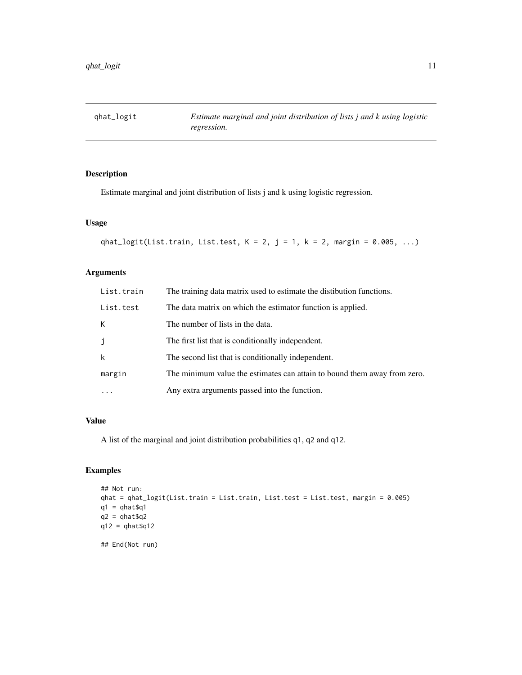<span id="page-10-0"></span>

Estimate marginal and joint distribution of lists j and k using logistic regression.

# Usage

```
qhat_logit(List.train, List.test, K = 2, j = 1, k = 2, margin = 0.005, ...)
```
## Arguments

| List.train  | The training data matrix used to estimate the distibution functions.     |
|-------------|--------------------------------------------------------------------------|
| List.test   | The data matrix on which the estimator function is applied.              |
| К           | The number of lists in the data.                                         |
| j           | The first list that is conditionally independent.                        |
| $\mathsf k$ | The second list that is conditionally independent.                       |
| margin      | The minimum value the estimates can attain to bound them away from zero. |
|             | Any extra arguments passed into the function.                            |

#### Value

A list of the marginal and joint distribution probabilities q1, q2 and q12.

```
## Not run:
qhat = qhat_logit(List.train = List.train, List.test = List.test, margin = 0.005)
q1 = qhat\q2 = qhat\{q}qq12 = qhat$q12## End(Not run)
```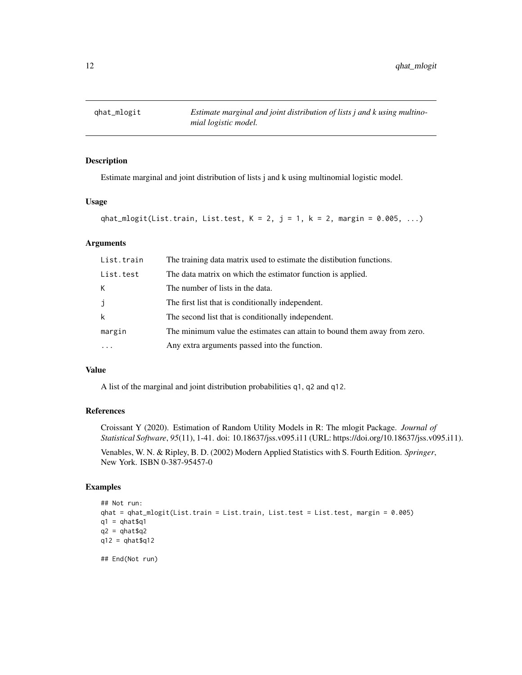<span id="page-11-0"></span>

Estimate marginal and joint distribution of lists j and k using multinomial logistic model.

#### Usage

```
qhat_mlogit(List.train, List.test, K = 2, j = 1, k = 2, margin = 0.005, ...)
```
# Arguments

| List.train  | The training data matrix used to estimate the distibution functions.     |
|-------------|--------------------------------------------------------------------------|
| List.test   | The data matrix on which the estimator function is applied.              |
| К           | The number of lists in the data.                                         |
| j           | The first list that is conditionally independent.                        |
| $\mathsf k$ | The second list that is conditionally independent.                       |
| margin      | The minimum value the estimates can attain to bound them away from zero. |
|             | Any extra arguments passed into the function.                            |

#### Value

A list of the marginal and joint distribution probabilities q1, q2 and q12.

# References

Croissant Y (2020). Estimation of Random Utility Models in R: The mlogit Package. *Journal of Statistical Software*, *95*(11), 1-41. doi: 10.18637/jss.v095.i11 (URL: https://doi.org/10.18637/jss.v095.i11).

Venables, W. N. & Ripley, B. D. (2002) Modern Applied Statistics with S. Fourth Edition. *Springer*, New York. ISBN 0-387-95457-0

```
## Not run:
qhat = qhat_mlogit(List.train = List.train, List.test = List.test, margin = 0.005)
q1 = qhat$q1q2 = qhat\q12 = qhat$q12## End(Not run)
```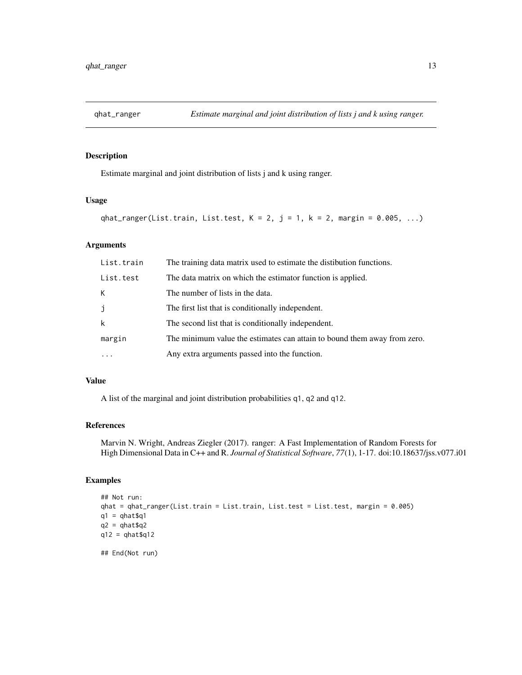<span id="page-12-0"></span>

Estimate marginal and joint distribution of lists j and k using ranger.

#### Usage

```
qhat_ranger(List.train, List.test, K = 2, j = 1, k = 2, margin = 0.005, ...)
```
#### Arguments

| List.train | The training data matrix used to estimate the distibution functions.     |
|------------|--------------------------------------------------------------------------|
| List.test  | The data matrix on which the estimator function is applied.              |
| К          | The number of lists in the data.                                         |
| j          | The first list that is conditionally independent.                        |
| k          | The second list that is conditionally independent.                       |
| margin     | The minimum value the estimates can attain to bound them away from zero. |
|            | Any extra arguments passed into the function.                            |

#### Value

A list of the marginal and joint distribution probabilities q1, q2 and q12.

#### References

Marvin N. Wright, Andreas Ziegler (2017). ranger: A Fast Implementation of Random Forests for High Dimensional Data in C++ and R. *Journal of Statistical Software*, *77*(1), 1-17. doi:10.18637/jss.v077.i01

```
## Not run:
qhat = qhat_ranger(List.train = List.train, List.test = List.test, margin = 0.005)
q1 = qhat$q1
q2 = qhat\{q}qq12 = qhat\## End(Not run)
```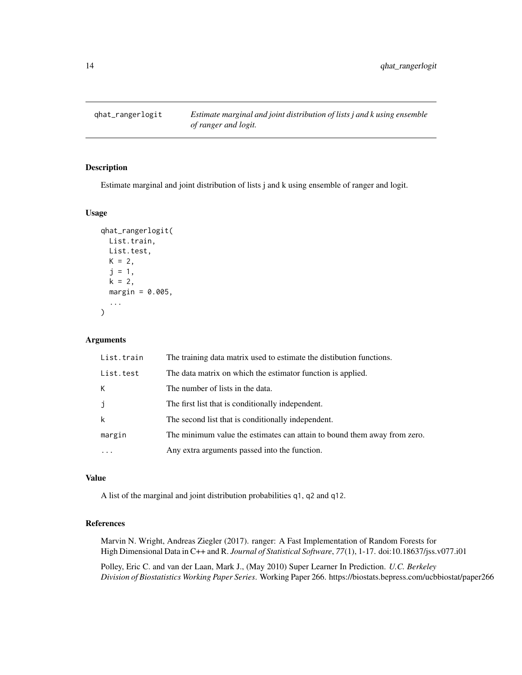<span id="page-13-1"></span><span id="page-13-0"></span>

Estimate marginal and joint distribution of lists j and k using ensemble of ranger and logit.

#### Usage

```
qhat_rangerlogit(
 List.train,
 List.test,
 K = 2,
  j = 1,k = 2,margin = 0.005,
  ...
)
```
#### Arguments

| List.train | The training data matrix used to estimate the distibution functions.     |
|------------|--------------------------------------------------------------------------|
| List.test  | The data matrix on which the estimator function is applied.              |
| К          | The number of lists in the data.                                         |
| j          | The first list that is conditionally independent.                        |
| k          | The second list that is conditionally independent.                       |
| margin     | The minimum value the estimates can attain to bound them away from zero. |
|            | Any extra arguments passed into the function.                            |

# Value

A list of the marginal and joint distribution probabilities q1, q2 and q12.

#### References

Marvin N. Wright, Andreas Ziegler (2017). ranger: A Fast Implementation of Random Forests for High Dimensional Data in C++ and R. *Journal of Statistical Software*, *77*(1), 1-17. doi:10.18637/jss.v077.i01

Polley, Eric C. and van der Laan, Mark J., (May 2010) Super Learner In Prediction. *U.C. Berkeley Division of Biostatistics Working Paper Series*. Working Paper 266. https://biostats.bepress.com/ucbbiostat/paper266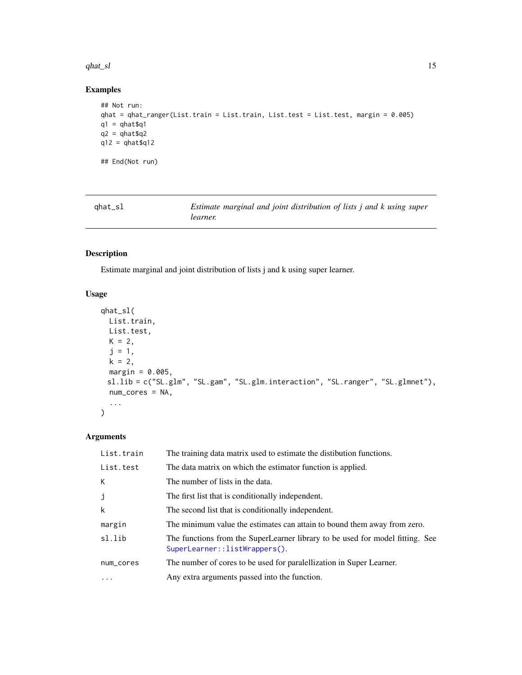#### <span id="page-14-0"></span> $qhat_s$  15

# Examples

```
## Not run:
qhat = qhat_ranger(List.train = List.train, List.test = List.test, margin = 0.005)
q1 = qhat$q1q2 = qhat\q12 = qhat\## End(Not run)
```
<span id="page-14-1"></span>

| qhat_sl | Estimate marginal and joint distribution of lists j and k using super |  |
|---------|-----------------------------------------------------------------------|--|
|         | learner.                                                              |  |

# Description

Estimate marginal and joint distribution of lists j and k using super learner.

# Usage

```
qhat_sl(
 List.train,
 List.test,
  K = 2,j = 1,k = 2,margin = 0.005,
 sl.lib = c("SL.glm", "SL.gam", "SL.glm.interaction", "SL.ranger", "SL.glmnet"),
  num_cores = NA,
  ...
\mathcal{L}
```
# Arguments

| List.train | The training data matrix used to estimate the distibution functions.                                           |
|------------|----------------------------------------------------------------------------------------------------------------|
| List.test  | The data matrix on which the estimator function is applied.                                                    |
| К          | The number of lists in the data.                                                                               |
| j          | The first list that is conditionally independent.                                                              |
| k          | The second list that is conditionally independent.                                                             |
| margin     | The minimum value the estimates can attain to bound them away from zero.                                       |
| sl.lib     | The functions from the SuperLearner library to be used for model fitting. See<br>SuperLearner::listWrappers(). |
| num_cores  | The number of cores to be used for paralellization in Super Learner.                                           |
| $\ddotsc$  | Any extra arguments passed into the function.                                                                  |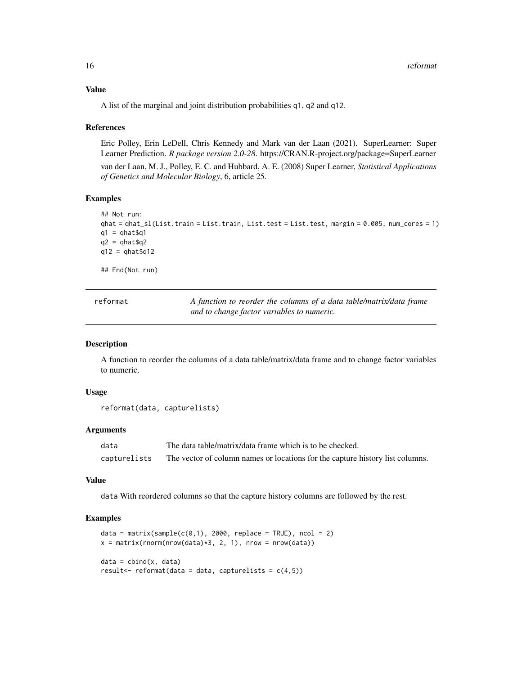#### Value

A list of the marginal and joint distribution probabilities q1, q2 and q12.

#### References

Eric Polley, Erin LeDell, Chris Kennedy and Mark van der Laan (2021). SuperLearner: Super Learner Prediction. *R package version 2.0-28*. https://CRAN.R-project.org/package=SuperLearner

van der Laan, M. J., Polley, E. C. and Hubbard, A. E. (2008) Super Learner, *Statistical Applications of Genetics and Molecular Biology*, 6, article 25.

#### Examples

```
## Not run:
qhat = qhat_sl(List.train = List.train, List.test = List.test, margin = 0.005, num_cores = 1)
q1 = qhat$q1q2 = qhat\q12 = qhat\{q12}
```
## End(Not run)

| reformat | A function to reorder the columns of a data table/matrix/data frame |
|----------|---------------------------------------------------------------------|
|          | and to change factor variables to numeric.                          |

#### Description

A function to reorder the columns of a data table/matrix/data frame and to change factor variables to numeric.

#### Usage

```
reformat(data, capturelists)
```
#### Arguments

| data         | The data table/matrix/data frame which is to be checked.                      |
|--------------|-------------------------------------------------------------------------------|
| capturelists | The vector of column names or locations for the capture history list columns. |

#### Value

data With reordered columns so that the capture history columns are followed by the rest.

```
data = matrix(sample(c(0,1), 2000, replace = TRUE), ncol = 2)
x = matrix(rnorm(nrow(data)*3, 2, 1), nrow = nrow(data)data = child(x, data)result <- reformat(data = data, capturelists = c(4,5))
```
<span id="page-15-0"></span>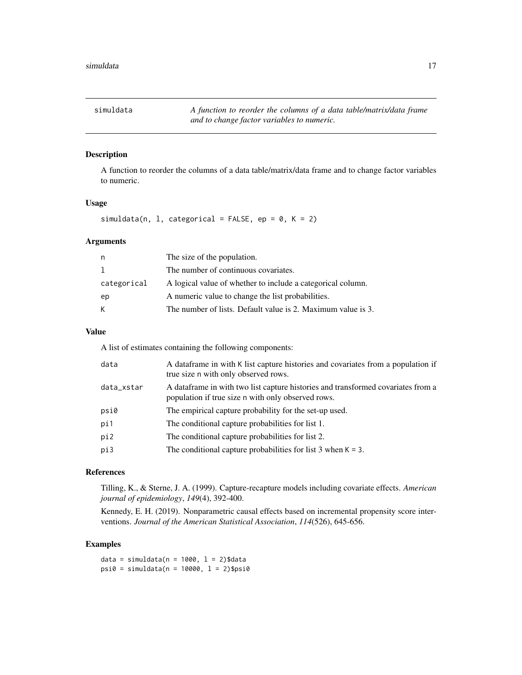<span id="page-16-0"></span>simuldata *A function to reorder the columns of a data table/matrix/data frame and to change factor variables to numeric.*

# Description

A function to reorder the columns of a data table/matrix/data frame and to change factor variables to numeric.

#### Usage

simuldata(n, l, categorical = FALSE, ep =  $0$ , K = 2)

#### Arguments

| n           | The size of the population.                                  |
|-------------|--------------------------------------------------------------|
| 1           | The number of continuous covariates.                         |
| categorical | A logical value of whether to include a categorical column.  |
| ep          | A numeric value to change the list probabilities.            |
| К           | The number of lists. Default value is 2. Maximum value is 3. |

#### Value

A list of estimates containing the following components:

| data       | A dataframe in with K list capture histories and covariates from a population if<br>true size n with only observed rows.                |
|------------|-----------------------------------------------------------------------------------------------------------------------------------------|
| data_xstar | A data frame in with two list capture histories and transformed covariates from a<br>population if true size n with only observed rows. |
| psi0       | The empirical capture probability for the set-up used.                                                                                  |
| pi1        | The conditional capture probabilities for list 1.                                                                                       |
| pi2        | The conditional capture probabilities for list 2.                                                                                       |
| pi3        | The conditional capture probabilities for list $3$ when $K = 3$ .                                                                       |
|            |                                                                                                                                         |

#### References

Tilling, K., & Sterne, J. A. (1999). Capture-recapture models including covariate effects. *American journal of epidemiology*, *149*(4), 392-400.

Kennedy, E. H. (2019). Nonparametric causal effects based on incremental propensity score interventions. *Journal of the American Statistical Association*, *114*(526), 645-656.

# Examples

data = simuldata( $n = 1000$ ,  $l = 2$ )\$data  $psi =$  simuldata(n = 10000,  $l = 2$ )\$psi0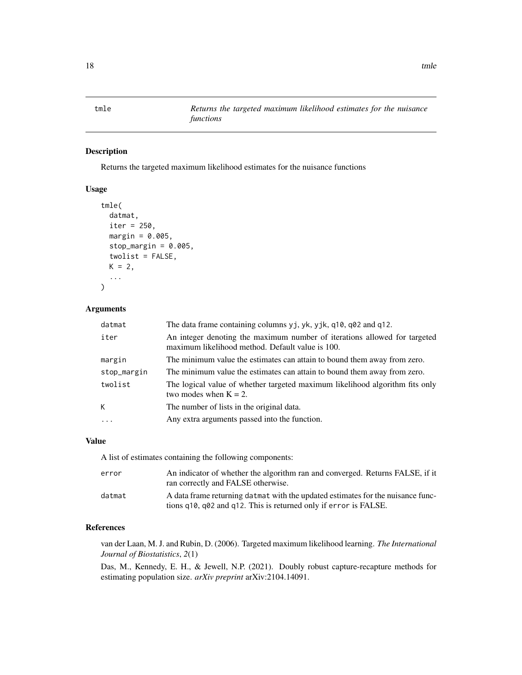<span id="page-17-1"></span><span id="page-17-0"></span>tmle *Returns the targeted maximum likelihood estimates for the nuisance functions*

# Description

Returns the targeted maximum likelihood estimates for the nuisance functions

#### Usage

```
tmle(
  datmat,
  iter = 250,
 margin = 0.005,
 stop_margin = 0.005,
  twolist = FALSE,
 K = 2,...
```
# Arguments

 $\mathcal{L}$ 

| datmat      | The data frame containing columns yj, yk, yjk, q10, q02 and q12.                                                              |
|-------------|-------------------------------------------------------------------------------------------------------------------------------|
| iter        | An integer denoting the maximum number of iterations allowed for targeted<br>maximum likelihood method. Default value is 100. |
| margin      | The minimum value the estimates can attain to bound them away from zero.                                                      |
| stop_margin | The minimum value the estimates can attain to bound them away from zero.                                                      |
| twolist     | The logical value of whether targeted maximum likelihood algorithm fits only<br>two modes when $K = 2$ .                      |
| К           | The number of lists in the original data.                                                                                     |
| $\cdots$    | Any extra arguments passed into the function.                                                                                 |

# Value

A list of estimates containing the following components:

| error  | An indicator of whether the algorithm ran and converged. Returns FALSE, if it<br>ran correctly and FALSE otherwise.                                 |
|--------|-----------------------------------------------------------------------------------------------------------------------------------------------------|
| datmat | A data frame returning datmat with the updated estimates for the nuisance func-<br>tions q10, q02 and q12. This is returned only if error is FALSE. |

# References

van der Laan, M. J. and Rubin, D. (2006). Targeted maximum likelihood learning. *The International Journal of Biostatistics*, *2*(1)

Das, M., Kennedy, E. H., & Jewell, N.P. (2021). Doubly robust capture-recapture methods for estimating population size. *arXiv preprint* arXiv:2104.14091.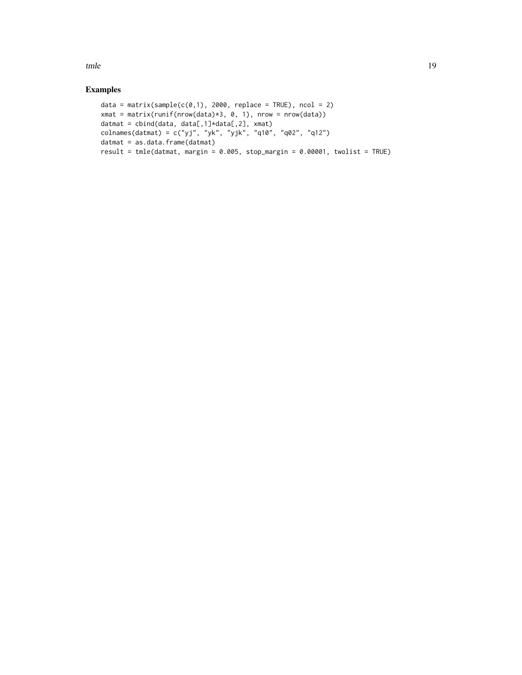tmle the state of the state of the state of the state of the state of the state of the state of the state of the state of the state of the state of the state of the state of the state of the state of the state of the state

```
data = matrix(sample(c(0,1), 2000, replace = TRUE), ncol = 2)
xmat = matrix(runif(nrow(data)*3, 0, 1), nrow = nrow(data))
datmat = cbind(data, data[,1]*data[,2], xmat)
colnames(datmat) = c("yj", "yk", "yjk", "q10", "q02", "q12")
datmat = as.data.frame(datmat)
result = tmle(datmat, margin = 0.005, stop_margin = 0.00001, twolist = TRUE)
```